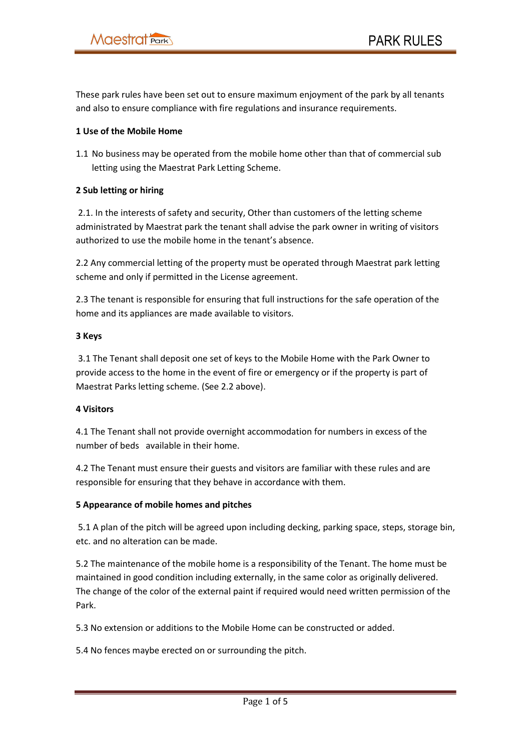These park rules have been set out to ensure maximum enjoyment of the park by all tenants and also to ensure compliance with fire regulations and insurance requirements.

### 1 Use of the Mobile Home

1.1 No business may be operated from the mobile home other than that of commercial sub letting using the Maestrat Park Letting Scheme.

# 2 Sub letting or hiring

 2.1. In the interests of safety and security, Other than customers of the letting scheme administrated by Maestrat park the tenant shall advise the park owner in writing of visitors authorized to use the mobile home in the tenant's absence.

2.2 Any commercial letting of the property must be operated through Maestrat park letting scheme and only if permitted in the License agreement.

2.3 The tenant is responsible for ensuring that full instructions for the safe operation of the home and its appliances are made available to visitors.

# 3 Keys

 3.1 The Tenant shall deposit one set of keys to the Mobile Home with the Park Owner to provide access to the home in the event of fire or emergency or if the property is part of Maestrat Parks letting scheme. (See 2.2 above).

### 4 Visitors

4.1 The Tenant shall not provide overnight accommodation for numbers in excess of the number of beds available in their home.

4.2 The Tenant must ensure their guests and visitors are familiar with these rules and are responsible for ensuring that they behave in accordance with them.

# 5 Appearance of mobile homes and pitches

 5.1 A plan of the pitch will be agreed upon including decking, parking space, steps, storage bin, etc. and no alteration can be made.

5.2 The maintenance of the mobile home is a responsibility of the Tenant. The home must be maintained in good condition including externally, in the same color as originally delivered. The change of the color of the external paint if required would need written permission of the Park.

5.3 No extension or additions to the Mobile Home can be constructed or added.

5.4 No fences maybe erected on or surrounding the pitch.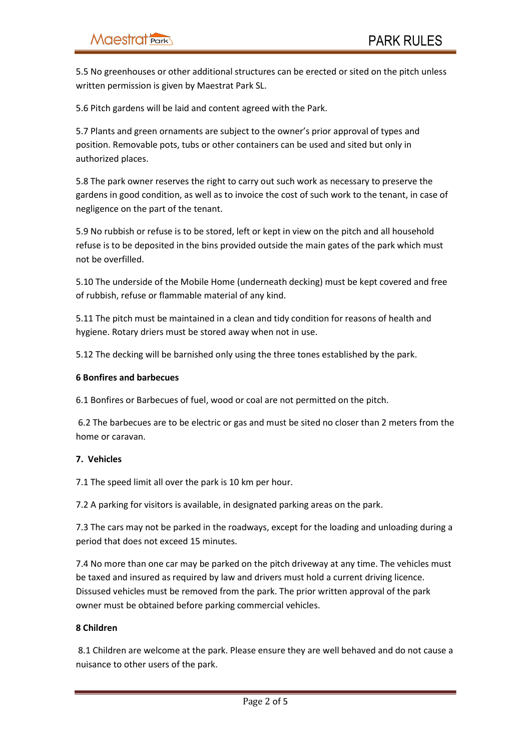5.5 No greenhouses or other additional structures can be erected or sited on the pitch unless written permission is given by Maestrat Park SL.

5.6 Pitch gardens will be laid and content agreed with the Park.

5.7 Plants and green ornaments are subject to the owner's prior approval of types and position. Removable pots, tubs or other containers can be used and sited but only in authorized places.

5.8 The park owner reserves the right to carry out such work as necessary to preserve the gardens in good condition, as well as to invoice the cost of such work to the tenant, in case of negligence on the part of the tenant.

5.9 No rubbish or refuse is to be stored, left or kept in view on the pitch and all household refuse is to be deposited in the bins provided outside the main gates of the park which must not be overfilled.

5.10 The underside of the Mobile Home (underneath decking) must be kept covered and free of rubbish, refuse or flammable material of any kind.

5.11 The pitch must be maintained in a clean and tidy condition for reasons of health and hygiene. Rotary driers must be stored away when not in use.

5.12 The decking will be barnished only using the three tones established by the park.

#### 6 Bonfires and barbecues

6.1 Bonfires or Barbecues of fuel, wood or coal are not permitted on the pitch.

 6.2 The barbecues are to be electric or gas and must be sited no closer than 2 meters from the home or caravan.

### 7. Vehicles

7.1 The speed limit all over the park is 10 km per hour.

7.2 A parking for visitors is available, in designated parking areas on the park.

7.3 The cars may not be parked in the roadways, except for the loading and unloading during a period that does not exceed 15 minutes.

7.4 No more than one car may be parked on the pitch driveway at any time. The vehicles must be taxed and insured as required by law and drivers must hold a current driving licence. Dissused vehicles must be removed from the park. The prior written approval of the park owner must be obtained before parking commercial vehicles.

### 8 Children

 8.1 Children are welcome at the park. Please ensure they are well behaved and do not cause a nuisance to other users of the park.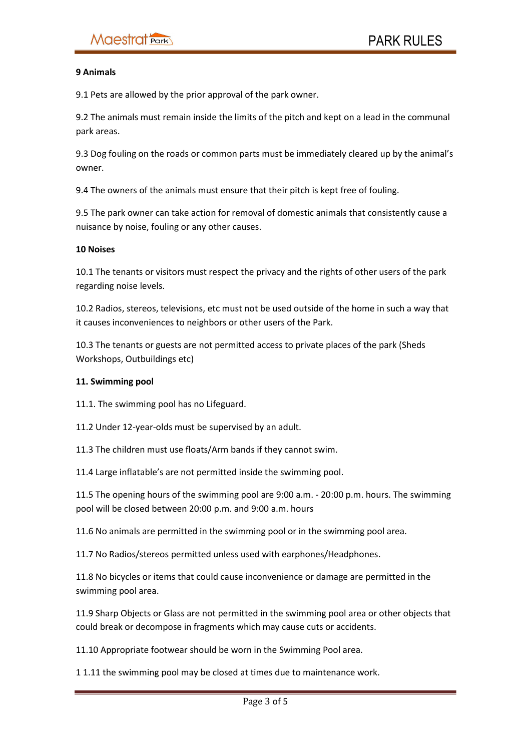#### 9 Animals

9.1 Pets are allowed by the prior approval of the park owner.

9.2 The animals must remain inside the limits of the pitch and kept on a lead in the communal park areas.

9.3 Dog fouling on the roads or common parts must be immediately cleared up by the animal's owner.

9.4 The owners of the animals must ensure that their pitch is kept free of fouling.

9.5 The park owner can take action for removal of domestic animals that consistently cause a nuisance by noise, fouling or any other causes.

#### 10 Noises

10.1 The tenants or visitors must respect the privacy and the rights of other users of the park regarding noise levels.

10.2 Radios, stereos, televisions, etc must not be used outside of the home in such a way that it causes inconveniences to neighbors or other users of the Park.

10.3 The tenants or guests are not permitted access to private places of the park (Sheds Workshops, Outbuildings etc)

#### 11. Swimming pool

11.1. The swimming pool has no Lifeguard.

11.2 Under 12-year-olds must be supervised by an adult.

11.3 The children must use floats/Arm bands if they cannot swim.

11.4 Large inflatable's are not permitted inside the swimming pool.

11.5 The opening hours of the swimming pool are 9:00 a.m. - 20:00 p.m. hours. The swimming pool will be closed between 20:00 p.m. and 9:00 a.m. hours

11.6 No animals are permitted in the swimming pool or in the swimming pool area.

11.7 No Radios/stereos permitted unless used with earphones/Headphones.

11.8 No bicycles or items that could cause inconvenience or damage are permitted in the swimming pool area.

11.9 Sharp Objects or Glass are not permitted in the swimming pool area or other objects that could break or decompose in fragments which may cause cuts or accidents.

11.10 Appropriate footwear should be worn in the Swimming Pool area.

1 1.11 the swimming pool may be closed at times due to maintenance work.